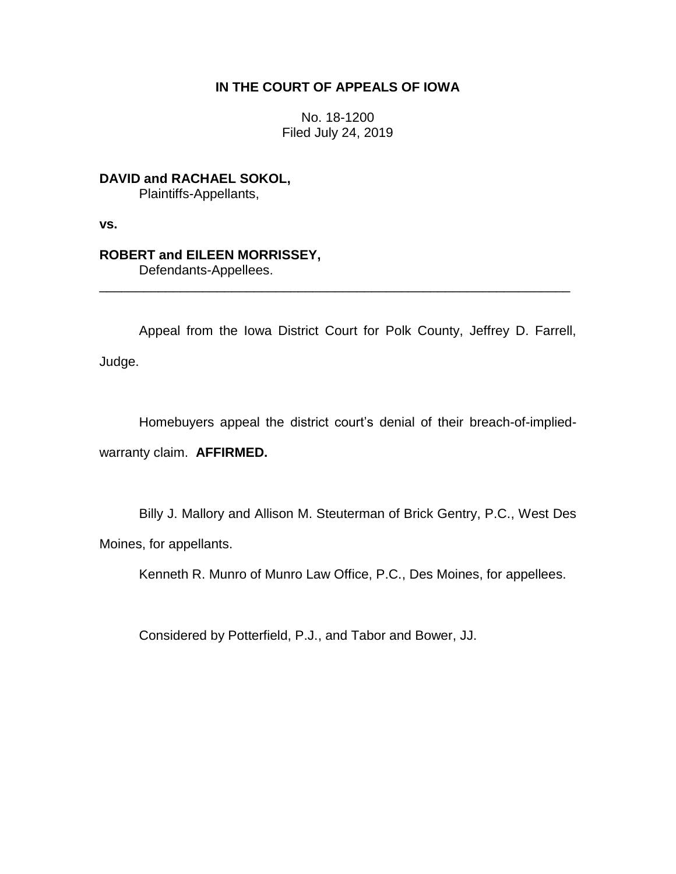# **IN THE COURT OF APPEALS OF IOWA**

No. 18-1200 Filed July 24, 2019

**DAVID and RACHAEL SOKOL,** Plaintiffs-Appellants,

**vs.**

# **ROBERT and EILEEN MORRISSEY,**

Defendants-Appellees.

Appeal from the Iowa District Court for Polk County, Jeffrey D. Farrell, Judge.

\_\_\_\_\_\_\_\_\_\_\_\_\_\_\_\_\_\_\_\_\_\_\_\_\_\_\_\_\_\_\_\_\_\_\_\_\_\_\_\_\_\_\_\_\_\_\_\_\_\_\_\_\_\_\_\_\_\_\_\_\_\_\_\_

Homebuyers appeal the district court's denial of their breach-of-impliedwarranty claim. **AFFIRMED.**

Billy J. Mallory and Allison M. Steuterman of Brick Gentry, P.C., West Des Moines, for appellants.

Kenneth R. Munro of Munro Law Office, P.C., Des Moines, for appellees.

Considered by Potterfield, P.J., and Tabor and Bower, JJ.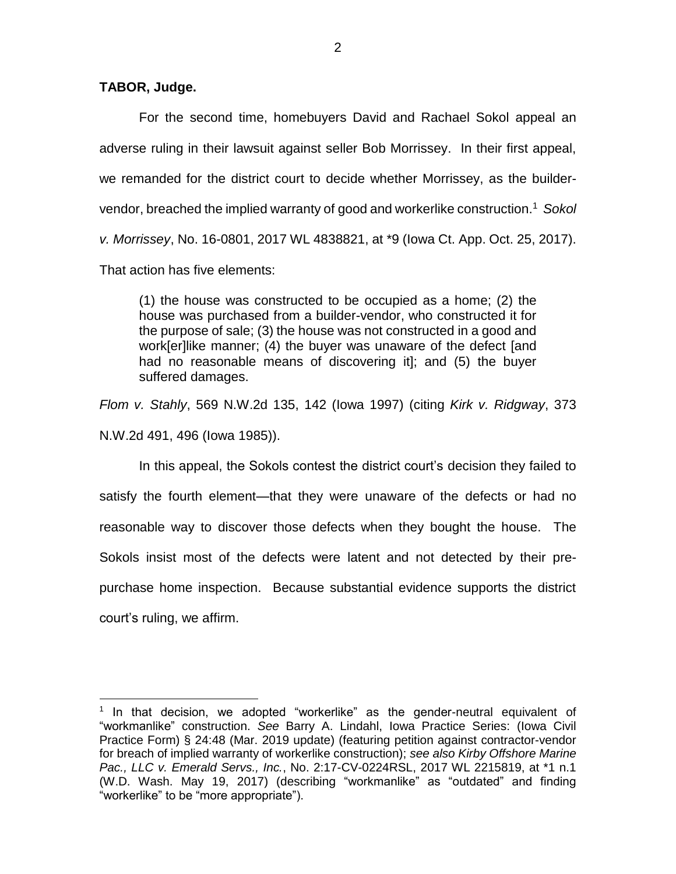**TABOR, Judge.**

 $\overline{a}$ 

For the second time, homebuyers David and Rachael Sokol appeal an adverse ruling in their lawsuit against seller Bob Morrissey. In their first appeal, we remanded for the district court to decide whether Morrissey, as the buildervendor, breached the implied warranty of good and workerlike construction.<sup>1</sup> *Sokol v. Morrissey*, No. 16-0801, 2017 WL 4838821, at \*9 (Iowa Ct. App. Oct. 25, 2017). That action has five elements:

(1) the house was constructed to be occupied as a home; (2) the house was purchased from a builder-vendor, who constructed it for the purpose of sale; (3) the house was not constructed in a good and work[er]like manner; (4) the buyer was unaware of the defect [and had no reasonable means of discovering it]; and (5) the buyer suffered damages.

*Flom v. Stahly*, 569 N.W.2d 135, 142 (Iowa 1997) (citing *Kirk v. Ridgway*, 373 N.W.2d 491, 496 (Iowa 1985)).

In this appeal, the Sokols contest the district court's decision they failed to satisfy the fourth element—that they were unaware of the defects or had no reasonable way to discover those defects when they bought the house. The Sokols insist most of the defects were latent and not detected by their prepurchase home inspection. Because substantial evidence supports the district court's ruling, we affirm.

<sup>&</sup>lt;sup>1</sup> In that decision, we adopted "workerlike" as the gender-neutral equivalent of "workmanlike" construction. *See* Barry A. Lindahl, Iowa Practice Series: (Iowa Civil Practice Form) § 24:48 (Mar. 2019 update) (featuring petition against contractor-vendor for breach of implied warranty of workerlike construction); *see also Kirby Offshore Marine Pac., LLC v. Emerald Servs., Inc.*, No. 2:17-CV-0224RSL, 2017 WL 2215819, at \*1 n.1 (W.D. Wash. May 19, 2017) (describing "workmanlike" as "outdated" and finding "workerlike" to be "more appropriate").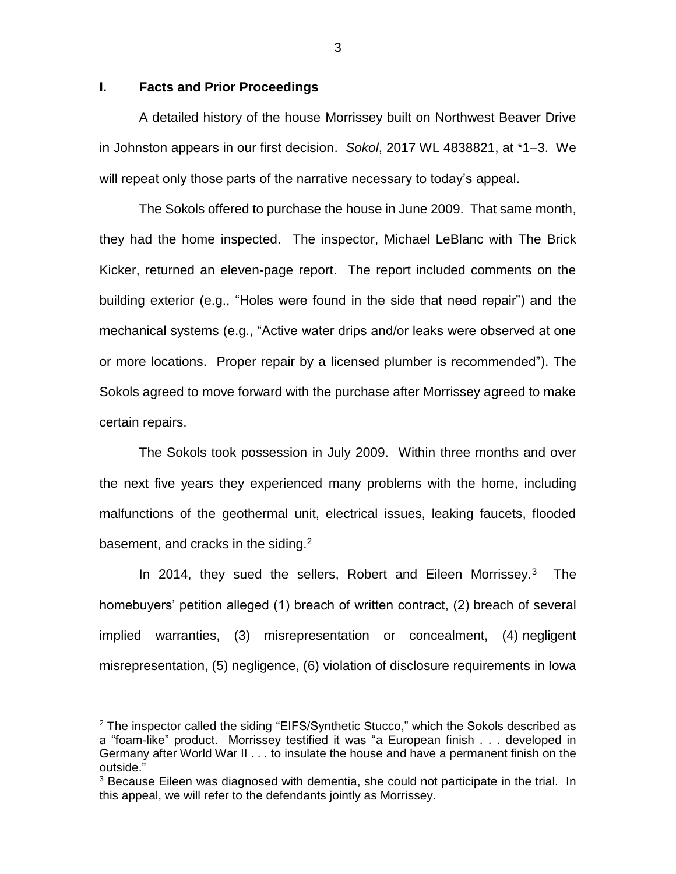### **I. Facts and Prior Proceedings**

 $\overline{a}$ 

A detailed history of the house Morrissey built on Northwest Beaver Drive in Johnston appears in our first decision. *Sokol*, 2017 WL 4838821, at \*1–3. We will repeat only those parts of the narrative necessary to today's appeal.

The Sokols offered to purchase the house in June 2009. That same month, they had the home inspected. The inspector, Michael LeBlanc with The Brick Kicker, returned an eleven-page report. The report included comments on the building exterior (e.g., "Holes were found in the side that need repair") and the mechanical systems (e.g., "Active water drips and/or leaks were observed at one or more locations. Proper repair by a licensed plumber is recommended"). The Sokols agreed to move forward with the purchase after Morrissey agreed to make certain repairs.

The Sokols took possession in July 2009. Within three months and over the next five years they experienced many problems with the home, including malfunctions of the geothermal unit, electrical issues, leaking faucets, flooded basement, and cracks in the siding. $2$ 

In 2014, they sued the sellers, Robert and Eileen Morrissey.<sup>3</sup> The homebuyers' petition alleged (1) breach of written contract, (2) breach of several implied warranties, (3) misrepresentation or concealment, (4) negligent misrepresentation, (5) negligence, (6) violation of disclosure requirements in Iowa

 $2$  The inspector called the siding "EIFS/Synthetic Stucco," which the Sokols described as a "foam-like" product. Morrissey testified it was "a European finish . . . developed in Germany after World War II . . . to insulate the house and have a permanent finish on the outside."

<sup>&</sup>lt;sup>3</sup> Because Eileen was diagnosed with dementia, she could not participate in the trial. In this appeal, we will refer to the defendants jointly as Morrissey.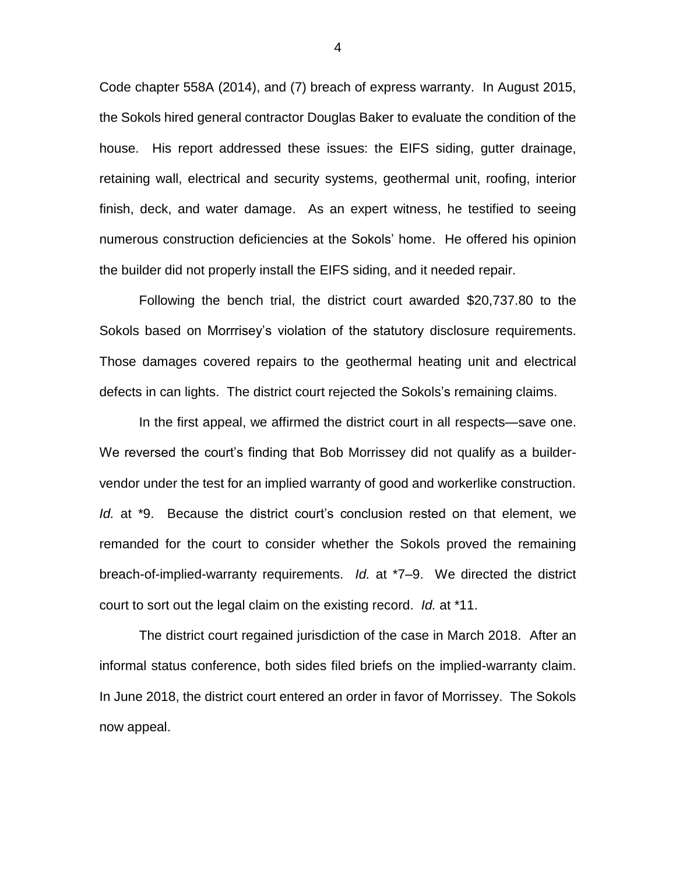Code chapter 558A (2014), and (7) breach of express warranty. In August 2015, the Sokols hired general contractor Douglas Baker to evaluate the condition of the house. His report addressed these issues: the EIFS siding, gutter drainage, retaining wall, electrical and security systems, geothermal unit, roofing, interior finish, deck, and water damage. As an expert witness, he testified to seeing numerous construction deficiencies at the Sokols' home. He offered his opinion the builder did not properly install the EIFS siding, and it needed repair.

Following the bench trial, the district court awarded \$20,737.80 to the Sokols based on Morrrisey's violation of the statutory disclosure requirements. Those damages covered repairs to the geothermal heating unit and electrical defects in can lights. The district court rejected the Sokols's remaining claims.

In the first appeal, we affirmed the district court in all respects—save one. We reversed the court's finding that Bob Morrissey did not qualify as a buildervendor under the test for an implied warranty of good and workerlike construction. *Id.* at \*9. Because the district court's conclusion rested on that element, we remanded for the court to consider whether the Sokols proved the remaining breach-of-implied-warranty requirements. *Id.* at \*7–9. We directed the district court to sort out the legal claim on the existing record. *Id.* at \*11.

The district court regained jurisdiction of the case in March 2018. After an informal status conference, both sides filed briefs on the implied-warranty claim. In June 2018, the district court entered an order in favor of Morrissey. The Sokols now appeal.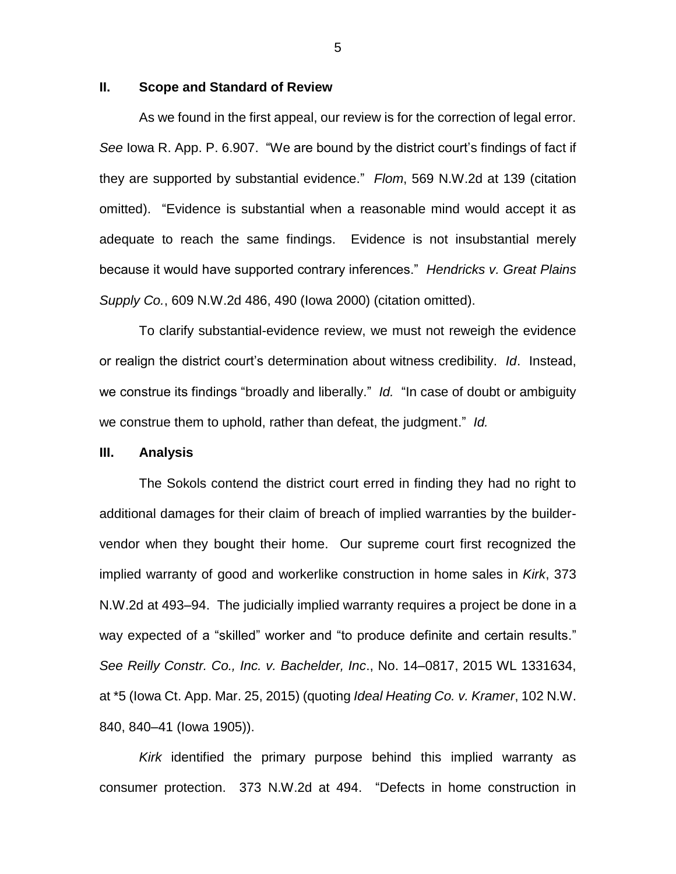### **II. Scope and Standard of Review**

As we found in the first appeal, our review is for the correction of legal error. *See* Iowa R. App. P. 6.907. "We are bound by the district court's findings of fact if they are supported by substantial evidence." *Flom*, 569 N.W.2d at 139 (citation omitted). "Evidence is substantial when a reasonable mind would accept it as adequate to reach the same findings. Evidence is not insubstantial merely because it would have supported contrary inferences." *Hendricks v. Great Plains Supply Co.*, 609 N.W.2d 486, 490 (Iowa 2000) (citation omitted).

To clarify substantial-evidence review, we must not reweigh the evidence or realign the district court's determination about witness credibility. *Id*. Instead, we construe its findings "broadly and liberally." *Id.* "In case of doubt or ambiguity we construe them to uphold, rather than defeat, the judgment." *Id.*

#### **III. Analysis**

The Sokols contend the district court erred in finding they had no right to additional damages for their claim of breach of implied warranties by the buildervendor when they bought their home. Our supreme court first recognized the implied warranty of good and workerlike construction in home sales in *Kirk*, 373 N.W.2d at 493–94. The judicially implied warranty requires a project be done in a way expected of a "skilled" worker and "to produce definite and certain results." *See Reilly Constr. Co., Inc. v. Bachelder, Inc*., No. 14–0817, 2015 WL 1331634, at \*5 (Iowa Ct. App. Mar. 25, 2015) (quoting *Ideal Heating Co. v. Kramer*, 102 N.W. 840, 840–41 (Iowa 1905)).

*Kirk* identified the primary purpose behind this implied warranty as consumer protection. 373 N.W.2d at 494. "Defects in home construction in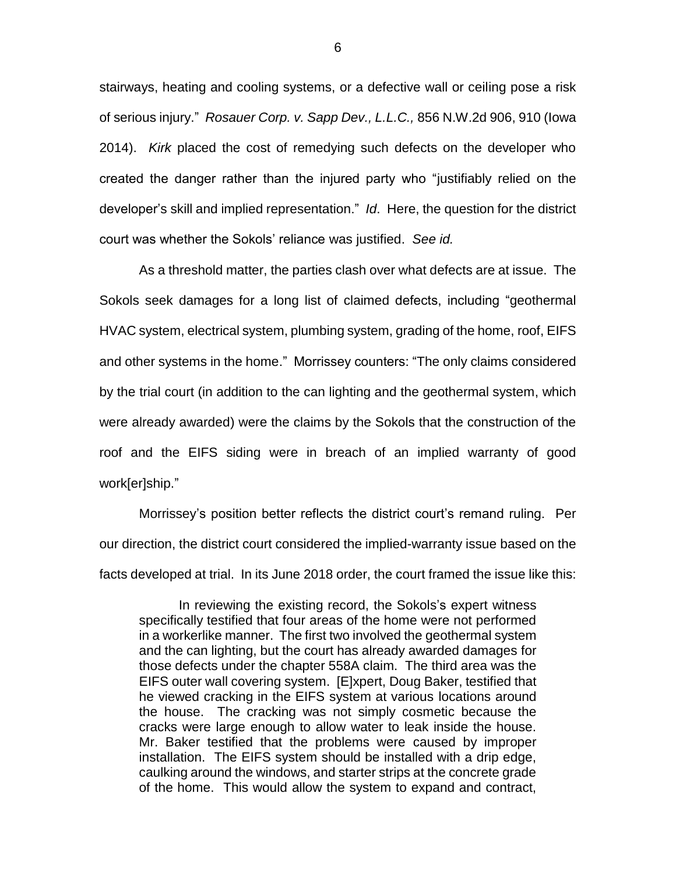stairways, heating and cooling systems, or a defective wall or ceiling pose a risk of serious injury." *Rosauer Corp. v. Sapp Dev., L.L.C.,* 856 N.W.2d 906, 910 (Iowa 2014). *Kirk* placed the cost of remedying such defects on the developer who created the danger rather than the injured party who "justifiably relied on the developer's skill and implied representation." *Id*. Here, the question for the district court was whether the Sokols' reliance was justified. *See id.*

As a threshold matter, the parties clash over what defects are at issue. The Sokols seek damages for a long list of claimed defects, including "geothermal HVAC system, electrical system, plumbing system, grading of the home, roof, EIFS and other systems in the home." Morrissey counters: "The only claims considered by the trial court (in addition to the can lighting and the geothermal system, which were already awarded) were the claims by the Sokols that the construction of the roof and the EIFS siding were in breach of an implied warranty of good work[er]ship."

Morrissey's position better reflects the district court's remand ruling. Per our direction, the district court considered the implied-warranty issue based on the facts developed at trial. In its June 2018 order, the court framed the issue like this:

In reviewing the existing record, the Sokols's expert witness specifically testified that four areas of the home were not performed in a workerlike manner. The first two involved the geothermal system and the can lighting, but the court has already awarded damages for those defects under the chapter 558A claim. The third area was the EIFS outer wall covering system. [E]xpert, Doug Baker, testified that he viewed cracking in the EIFS system at various locations around the house. The cracking was not simply cosmetic because the cracks were large enough to allow water to leak inside the house. Mr. Baker testified that the problems were caused by improper installation. The EIFS system should be installed with a drip edge, caulking around the windows, and starter strips at the concrete grade of the home. This would allow the system to expand and contract,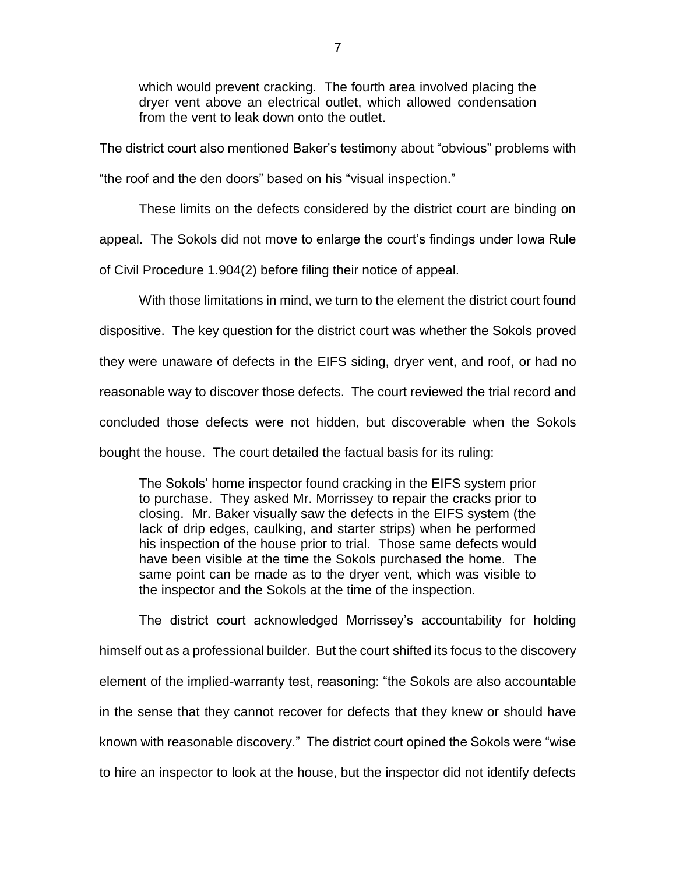which would prevent cracking. The fourth area involved placing the dryer vent above an electrical outlet, which allowed condensation from the vent to leak down onto the outlet.

The district court also mentioned Baker's testimony about "obvious" problems with

"the roof and the den doors" based on his "visual inspection."

These limits on the defects considered by the district court are binding on

appeal. The Sokols did not move to enlarge the court's findings under Iowa Rule

of Civil Procedure 1.904(2) before filing their notice of appeal.

With those limitations in mind, we turn to the element the district court found dispositive. The key question for the district court was whether the Sokols proved they were unaware of defects in the EIFS siding, dryer vent, and roof, or had no reasonable way to discover those defects. The court reviewed the trial record and concluded those defects were not hidden, but discoverable when the Sokols bought the house. The court detailed the factual basis for its ruling:

The Sokols' home inspector found cracking in the EIFS system prior to purchase. They asked Mr. Morrissey to repair the cracks prior to closing. Mr. Baker visually saw the defects in the EIFS system (the lack of drip edges, caulking, and starter strips) when he performed his inspection of the house prior to trial. Those same defects would have been visible at the time the Sokols purchased the home. The same point can be made as to the dryer vent, which was visible to the inspector and the Sokols at the time of the inspection.

The district court acknowledged Morrissey's accountability for holding himself out as a professional builder. But the court shifted its focus to the discovery element of the implied-warranty test, reasoning: "the Sokols are also accountable in the sense that they cannot recover for defects that they knew or should have known with reasonable discovery." The district court opined the Sokols were "wise to hire an inspector to look at the house, but the inspector did not identify defects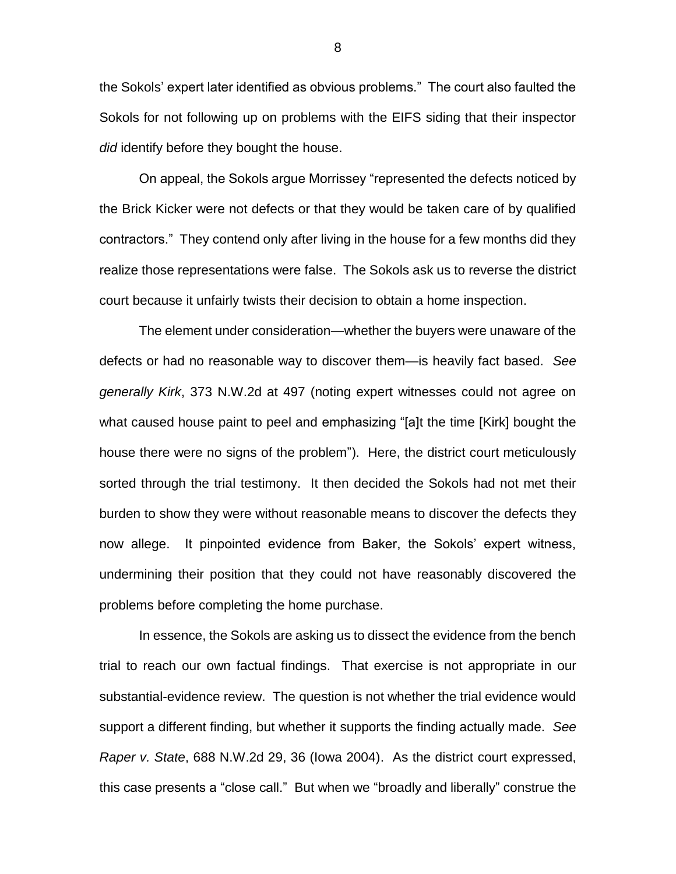the Sokols' expert later identified as obvious problems." The court also faulted the Sokols for not following up on problems with the EIFS siding that their inspector *did* identify before they bought the house.

On appeal, the Sokols argue Morrissey "represented the defects noticed by the Brick Kicker were not defects or that they would be taken care of by qualified contractors." They contend only after living in the house for a few months did they realize those representations were false. The Sokols ask us to reverse the district court because it unfairly twists their decision to obtain a home inspection.

The element under consideration—whether the buyers were unaware of the defects or had no reasonable way to discover them—is heavily fact based. *See generally Kirk*, 373 N.W.2d at 497 (noting expert witnesses could not agree on what caused house paint to peel and emphasizing "[a]t the time [Kirk] bought the house there were no signs of the problem"). Here, the district court meticulously sorted through the trial testimony. It then decided the Sokols had not met their burden to show they were without reasonable means to discover the defects they now allege. It pinpointed evidence from Baker, the Sokols' expert witness, undermining their position that they could not have reasonably discovered the problems before completing the home purchase.

In essence, the Sokols are asking us to dissect the evidence from the bench trial to reach our own factual findings. That exercise is not appropriate in our substantial-evidence review. The question is not whether the trial evidence would support a different finding, but whether it supports the finding actually made. *See Raper v. State*, 688 N.W.2d 29, 36 (Iowa 2004). As the district court expressed, this case presents a "close call." But when we "broadly and liberally" construe the